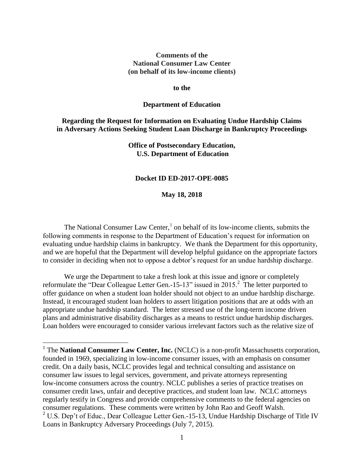#### **Comments of the National Consumer Law Center (on behalf of its low-income clients)**

#### **to the**

#### **Department of Education**

## **Regarding the Request for Information on Evaluating Undue Hardship Claims in Adversary Actions Seeking Student Loan Discharge in Bankruptcy Proceedings**

#### **Office of Postsecondary Education, U.S. Department of Education**

#### **Docket ID ED-2017-OPE-0085**

#### **May 18, 2018**

The National Consumer Law Center, $<sup>1</sup>$  on behalf of its low-income clients, submits the</sup> following comments in response to the Department of Education's request for information on evaluating undue hardship claims in bankruptcy. We thank the Department for this opportunity, and we are hopeful that the Department will develop helpful guidance on the appropriate factors to consider in deciding when not to oppose a debtor's request for an undue hardship discharge.

We urge the Department to take a fresh look at this issue and ignore or completely reformulate the "Dear Colleague Letter Gen.-15-13" issued in 2015.<sup>2</sup> The letter purported to offer guidance on when a student loan holder should not object to an undue hardship discharge. Instead, it encouraged student loan holders to assert litigation positions that are at odds with an appropriate undue hardship standard. The letter stressed use of the long-term income driven plans and administrative disability discharges as a means to restrict undue hardship discharges. Loan holders were encouraged to consider various irrelevant factors such as the relative size of

<sup>&</sup>lt;sup>1</sup> The **National Consumer Law Center, Inc.** (NCLC) is a non-profit Massachusetts corporation, founded in 1969, specializing in low-income consumer issues, with an emphasis on consumer credit. On a daily basis, NCLC provides legal and technical consulting and assistance on consumer law issues to legal services, government, and private attorneys representing low-income consumers across the country. NCLC publishes a series of practice treatises on consumer credit laws, unfair and deceptive practices, and student loan law. NCLC attorneys regularly testify in Congress and provide comprehensive comments to the federal agencies on consumer regulations. These comments were written by John Rao and Geoff Walsh. <sup>2</sup> U.S. Dep't of Educ., Dear Colleague Letter Gen.-15-13, Undue Hardship Discharge of Title IV Loans in Bankruptcy Adversary Proceedings (July 7, 2015).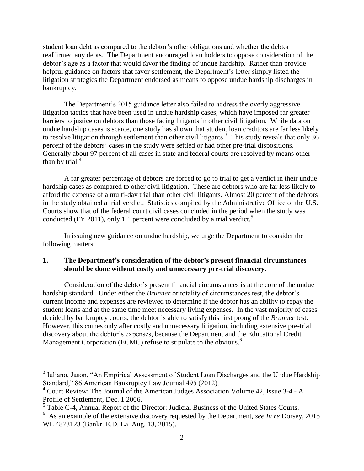student loan debt as compared to the debtor's other obligations and whether the debtor reaffirmed any debts. The Department encouraged loan holders to oppose consideration of the debtor's age as a factor that would favor the finding of undue hardship. Rather than provide helpful guidance on factors that favor settlement, the Department's letter simply listed the litigation strategies the Department endorsed as means to oppose undue hardship discharges in bankruptcy.

The Department's 2015 guidance letter also failed to address the overly aggressive litigation tactics that have been used in undue hardship cases, which have imposed far greater barriers to justice on debtors than those facing litigants in other civil litigation. While data on undue hardship cases is scarce, one study has shown that student loan creditors are far less likely to resolve litigation through settlement than other civil litigants.<sup>3</sup> This study reveals that only 36 percent of the debtors' cases in the study were settled or had other pre-trial dispositions. Generally about 97 percent of all cases in state and federal courts are resolved by means other than by trial. $4$ 

A far greater percentage of debtors are forced to go to trial to get a verdict in their undue hardship cases as compared to other civil litigation. These are debtors who are far less likely to afford the expense of a multi-day trial than other civil litigants. Almost 20 percent of the debtors in the study obtained a trial verdict. Statistics compiled by the Administrative Office of the U.S. Courts show that of the federal court civil cases concluded in the period when the study was conducted (FY 2011), only 1.1 percent were concluded by a trial verdict.<sup>5</sup>

In issuing new guidance on undue hardship, we urge the Department to consider the following matters.

## **1. The Department's consideration of the debtor's present financial circumstances should be done without costly and unnecessary pre-trial discovery.**

Consideration of the debtor's present financial circumstances is at the core of the undue hardship standard. Under either the *Brunner* or totality of circumstances test, the debtor's current income and expenses are reviewed to determine if the debtor has an ability to repay the student loans and at the same time meet necessary living expenses. In the vast majority of cases decided by bankruptcy courts, the debtor is able to satisfy this first prong of the *Brunner* test. However, this comes only after costly and unnecessary litigation, including extensive pre-trial discovery about the debtor's expenses, because the Department and the Educational Credit Management Corporation (ECMC) refuse to stipulate to the obvious.<sup>6</sup>

<sup>&</sup>lt;sup>3</sup> Iuliano, Jason, "An Empirical Assessment of Student Loan Discharges and the Undue Hardship Standard," 86 American Bankruptcy Law Journal 495 (2012).

 $4$  Court Review: The Journal of the American Judges Association Volume 42, Issue 3-4 - A Profile of Settlement, Dec. 1 2006.

 $<sup>5</sup>$  Table C-4, Annual Report of the Director: Judicial Business of the United States Courts.</sup>

<sup>6</sup> As an example of the extensive discovery requested by the Department, *see In re* Dorsey, 2015 WL 4873123 (Bankr. E.D. La. Aug. 13, 2015).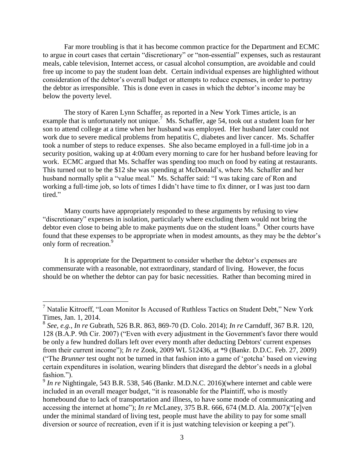Far more troubling is that it has become common practice for the Department and ECMC to argue in court cases that certain "discretionary" or "non-essential" expenses, such as restaurant meals, cable television, Internet access, or casual alcohol consumption, are avoidable and could free up income to pay the student loan debt. Certain individual expenses are highlighted without consideration of the debtor's overall budget or attempts to reduce expenses, in order to portray the debtor as irresponsible. This is done even in cases in which the debtor's income may be below the poverty level.

The story of Karen Lynn Schaffer, as reported in a New York Times article, is an example that is unfortunately not unique.<sup>7</sup> Ms. Schaffer, age 54, took out a student loan for her son to attend college at a time when her husband was employed. Her husband later could not work due to severe medical problems from hepatitis C, diabetes and liver cancer. Ms. Schaffer took a number of steps to reduce expenses. She also became employed in a full-time job in a security position, waking up at 4:00am every morning to care for her husband before leaving for work. ECMC argued that Ms. Schaffer was spending too much on food by eating at restaurants. This turned out to be the \$12 she was spending at McDonald's, where Ms. Schaffer and her husband normally split a "value meal." Ms. Schaffer said: "I was taking care of Ron and working a full-time job, so lots of times I didn't have time to fix dinner, or I was just too darn tired."

Many courts have appropriately responded to these arguments by refusing to view "discretionary" expenses in isolation, particularly where excluding them would not bring the debtor even close to being able to make payments due on the student loans.<sup>8</sup> Other courts have found that these expenses to be appropriate when in modest amounts, as they may be the debtor's only form of recreation.<sup>9</sup>

It is appropriate for the Department to consider whether the debtor's expenses are commensurate with a reasonable, not extraordinary, standard of living. However, the focus should be on whether the debtor can pay for basic necessities. Rather than becoming mired in

 $7$  Natalie Kitroeff, "Loan Monitor Is Accused of Ruthless Tactics on Student Debt," New York Times, Jan. 1, 2014.

<sup>8</sup> *See, e.g.*, *In re* Gubrath, 526 B.R. 863, 869-70 (D. Colo. 2014); *In re* Carnduff, 367 B.R. 120, 128 (B.A.P. 9th Cir. 2007) ("Even with every adjustment in the Government's favor there would be only a few hundred dollars left over every month after deducting Debtors' current expenses from their current income"); *In re* Zook, 2009 WL 512436, at \*9 (Bankr. D.D.C. Feb. 27, 2009) ("The *Brunner* test ought not be turned in that fashion into a game of 'gotcha' based on viewing certain expenditures in isolation, wearing blinders that disregard the debtor's needs in a global fashion.").

<sup>&</sup>lt;sup>9</sup> In re Nightingale, 543 B.R. 538, 546 (Bankr. M.D.N.C. 2016) (where internet and cable were included in an overall meager budget, "it is reasonable for the Plaintiff, who is mostly homebound due to lack of transportation and illness, to have some mode of communicating and accessing the internet at home"); *In re* McLaney, 375 B.R. 666, 674 (M.D. Ala. 2007)("[e]ven under the minimal standard of living test, people must have the ability to pay for some small diversion or source of recreation, even if it is just watching television or keeping a pet").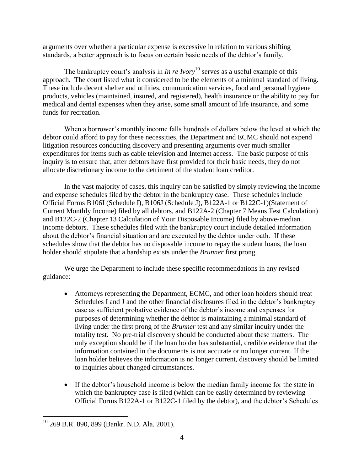arguments over whether a particular expense is excessive in relation to various shifting standards, a better approach is to focus on certain basic needs of the debtor's family.

The bankruptcy court's analysis in *In re Ivory*<sup>10</sup> serves as a useful example of this approach. The court listed what it considered to be the elements of a minimal standard of living. These include decent shelter and utilities, communication services, food and personal hygiene products, vehicles (maintained, insured, and registered), health insurance or the ability to pay for medical and dental expenses when they arise, some small amount of life insurance, and some funds for recreation.

When a borrower's monthly income falls hundreds of dollars below the level at which the debtor could afford to pay for these necessities, the Department and ECMC should not expend litigation resources conducting discovery and presenting arguments over much smaller expenditures for items such as cable television and Internet access. The basic purpose of this inquiry is to ensure that, after debtors have first provided for their basic needs, they do not allocate discretionary income to the detriment of the student loan creditor.

In the vast majority of cases, this inquiry can be satisfied by simply reviewing the income and expense schedules filed by the debtor in the bankruptcy case. These schedules include Official Forms B106I (Schedule I), B106J (Schedule J), B122A-1 or B122C-1)(Statement of Current Monthly Income) filed by all debtors, and B122A-2 (Chapter 7 Means Test Calculation) and B122C-2 (Chapter 13 Calculation of Your Disposable Income) filed by above-median income debtors. These schedules filed with the bankruptcy court include detailed information about the debtor's financial situation and are executed by the debtor under oath. If these schedules show that the debtor has no disposable income to repay the student loans, the loan holder should stipulate that a hardship exists under the *Brunner* first prong.

We urge the Department to include these specific recommendations in any revised guidance:

- Attorneys representing the Department, ECMC, and other loan holders should treat Schedules I and J and the other financial disclosures filed in the debtor's bankruptcy case as sufficient probative evidence of the debtor's income and expenses for purposes of determining whether the debtor is maintaining a minimal standard of living under the first prong of the *Brunner* test and any similar inquiry under the totality test. No pre-trial discovery should be conducted about these matters. The only exception should be if the loan holder has substantial, credible evidence that the information contained in the documents is not accurate or no longer current. If the loan holder believes the information is no longer current, discovery should be limited to inquiries about changed circumstances.
- If the debtor's household income is below the median family income for the state in which the bankruptcy case is filed (which can be easily determined by reviewing Official Forms B122A-1 or B122C-1 filed by the debtor), and the debtor's Schedules

 $\overline{a}$ <sup>10</sup> 269 B.R. 890, 899 (Bankr. N.D. Ala. 2001).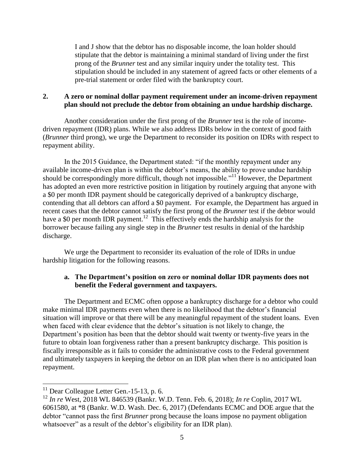I and J show that the debtor has no disposable income, the loan holder should stipulate that the debtor is maintaining a minimal standard of living under the first prong of the *Brunner* test and any similar inquiry under the totality test. This stipulation should be included in any statement of agreed facts or other elements of a pre-trial statement or order filed with the bankruptcy court.

#### **2. A zero or nominal dollar payment requirement under an income-driven repayment plan should not preclude the debtor from obtaining an undue hardship discharge.**

Another consideration under the first prong of the *Brunner* test is the role of incomedriven repayment (IDR) plans. While we also address IDRs below in the context of good faith (*Brunner* third prong), we urge the Department to reconsider its position on IDRs with respect to repayment ability.

In the 2015 Guidance, the Department stated: "if the monthly repayment under any available income-driven plan is within the debtor's means, the ability to prove undue hardship should be correspondingly more difficult, though not impossible."<sup>11</sup> However, the Department has adopted an even more restrictive position in litigation by routinely arguing that anyone with a \$0 per month IDR payment should be categorically deprived of a bankruptcy discharge, contending that all debtors can afford a \$0 payment. For example, the Department has argued in recent cases that the debtor cannot satisfy the first prong of the *Brunner* test if the debtor would have a \$0 per month IDR payment.<sup>12</sup> This effectively ends the hardship analysis for the borrower because failing any single step in the *Brunner* test results in denial of the hardship discharge.

We urge the Department to reconsider its evaluation of the role of IDRs in undue hardship litigation for the following reasons.

## **a. The Department's position on zero or nominal dollar IDR payments does not benefit the Federal government and taxpayers.**

The Department and ECMC often oppose a bankruptcy discharge for a debtor who could make minimal IDR payments even when there is no likelihood that the debtor's financial situation will improve or that there will be any meaningful repayment of the student loans. Even when faced with clear evidence that the debtor's situation is not likely to change, the Department's position has been that the debtor should wait twenty or twenty-five years in the future to obtain loan forgiveness rather than a present bankruptcy discharge. This position is fiscally irresponsible as it fails to consider the administrative costs to the Federal government and ultimately taxpayers in keeping the debtor on an IDR plan when there is no anticipated loan repayment.

 $11$  Dear Colleague Letter Gen.-15-13, p. 6.

<sup>12</sup> *In re* West, 2018 WL 846539 (Bankr. W.D. Tenn. Feb. 6, 2018); *In re* Coplin, 2017 WL 6061580, at \*8 (Bankr. W.D. Wash. Dec. 6, 2017) (Defendants ECMC and DOE argue that the debtor "cannot pass the first *Brunner* prong because the loans impose no payment obligation whatsoever" as a result of the debtor's eligibility for an IDR plan).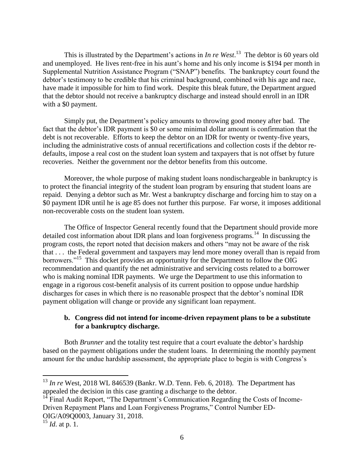This is illustrated by the Department's actions in *In re West*. 13 The debtor is 60 years old and unemployed. He lives rent-free in his aunt's home and his only income is \$194 per month in Supplemental Nutrition Assistance Program ("SNAP") benefits. The bankruptcy court found the debtor's testimony to be credible that his criminal background, combined with his age and race, have made it impossible for him to find work. Despite this bleak future, the Department argued that the debtor should not receive a bankruptcy discharge and instead should enroll in an IDR with a \$0 payment.

Simply put, the Department's policy amounts to throwing good money after bad. The fact that the debtor's IDR payment is \$0 or some minimal dollar amount is confirmation that the debt is not recoverable. Efforts to keep the debtor on an IDR for twenty or twenty-five years, including the administrative costs of annual recertifications and collection costs if the debtor redefaults, impose a real cost on the student loan system and taxpayers that is not offset by future recoveries. Neither the government nor the debtor benefits from this outcome.

Moreover, the whole purpose of making student loans nondischargeable in bankruptcy is to protect the financial integrity of the student loan program by ensuring that student loans are repaid. Denying a debtor such as Mr. West a bankruptcy discharge and forcing him to stay on a \$0 payment IDR until he is age 85 does not further this purpose. Far worse, it imposes additional non-recoverable costs on the student loan system.

The Office of Inspector General recently found that the Department should provide more detailed cost information about IDR plans and loan forgiveness programs.<sup>14</sup> In discussing the program costs, the report noted that decision makers and others "may not be aware of the risk that . . . the Federal government and taxpayers may lend more money overall than is repaid from borrowers."<sup>15</sup> This docket provides an opportunity for the Department to follow the OIG recommendation and quantify the net administrative and servicing costs related to a borrower who is making nominal IDR payments. We urge the Department to use this information to engage in a rigorous cost-benefit analysis of its current position to oppose undue hardship discharges for cases in which there is no reasonable prospect that the debtor's nominal IDR payment obligation will change or provide any significant loan repayment.

### **b. Congress did not intend for income-driven repayment plans to be a substitute for a bankruptcy discharge.**

Both *Brunner* and the totality test require that a court evaluate the debtor's hardship based on the payment obligations under the student loans. In determining the monthly payment amount for the undue hardship assessment, the appropriate place to begin is with Congress's

<sup>14</sup> Final Audit Report, "The Department's Communication Regarding the Costs of Income-Driven Repayment Plans and Loan Forgiveness Programs," Control Number ED-OIG/A09Q0003, January 31, 2018.

<sup>13</sup> *In re* West, 2018 WL 846539 (Bankr. W.D. Tenn. Feb. 6, 2018). The Department has appealed the decision in this case granting a discharge to the debtor.

<sup>15</sup> *Id*. at p. 1.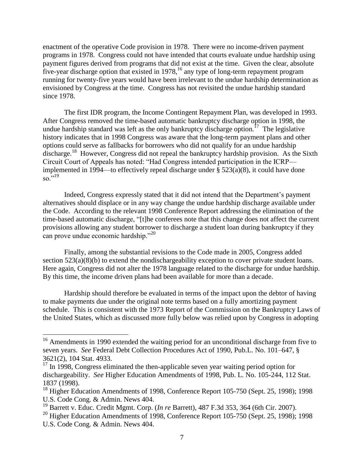enactment of the operative Code provision in 1978. There were no income-driven payment programs in 1978. Congress could not have intended that courts evaluate undue hardship using payment figures derived from programs that did not exist at the time. Given the clear, absolute five-year discharge option that existed in  $1978$ ,<sup>16</sup> any type of long-term repayment program running for twenty-five years would have been irrelevant to the undue hardship determination as envisioned by Congress at the time. Congress has not revisited the undue hardship standard since 1978.

The first IDR program, the Income Contingent Repayment Plan, was developed in 1993. After Congress removed the time-based automatic bankruptcy discharge option in 1998, the undue hardship standard was left as the only bankruptcy discharge option.<sup>17</sup> The legislative history indicates that in 1998 Congress was aware that the long-term payment plans and other options could serve as fallbacks for borrowers who did not qualify for an undue hardship discharge.<sup>18</sup> However, Congress did not repeal the bankruptcy hardship provision. As the Sixth Circuit Court of Appeals has noted: "Had Congress intended participation in the ICRP implemented in 1994—to effectively repeal discharge under § 523(a)(8), it could have done  $\overline{50}$ , 19

Indeed, Congress expressly stated that it did not intend that the Department's payment alternatives should displace or in any way change the undue hardship discharge available under the Code. According to the relevant 1998 Conference Report addressing the elimination of the time-based automatic discharge, "[t]he conferees note that this change does not affect the current provisions allowing any student borrower to discharge a student loan during bankruptcy if they can prove undue economic hardship."<sup>20</sup>

Finally, among the substantial revisions to the Code made in 2005, Congress added section 523(a)(8)(b) to extend the nondischargeability exception to cover private student loans. Here again, Congress did not alter the 1978 language related to the discharge for undue hardship. By this time, the income driven plans had been available for more than a decade.

Hardship should therefore be evaluated in terms of the impact upon the debtor of having to make payments due under the original note terms based on a fully amortizing payment schedule. This is consistent with the 1973 Report of the Commission on the Bankruptcy Laws of the United States, which as discussed more fully below was relied upon by Congress in adopting

 $16$  Amendments in 1990 extended the waiting period for an unconditional discharge from five to seven years. *See* Federal Debt Collection Procedures Act of 1990, Pub.L. No. 101–647, § 3621(2), 104 Stat. 4933.

<sup>&</sup>lt;sup>17</sup> In 1998, Congress eliminated the then-applicable seven year waiting period option for dischargeability. *See* Higher Education Amendments of 1998, Pub. L. No. 105-244, 112 Stat. 1837 (1998).

<sup>&</sup>lt;sup>18</sup> Higher Education Amendments of 1998, Conference Report 105-750 (Sept. 25, 1998); 1998 U.S. Code Cong. & Admin. News 404.

<sup>19</sup> Barrett v. Educ. Credit Mgmt. Corp. (*In re* Barrett), 487 F.3d 353, 364 (6th Cir. 2007).

<sup>&</sup>lt;sup>20</sup> Higher Education Amendments of 1998, Conference Report 105-750 (Sept. 25, 1998); 1998 U.S. Code Cong. & Admin. News 404.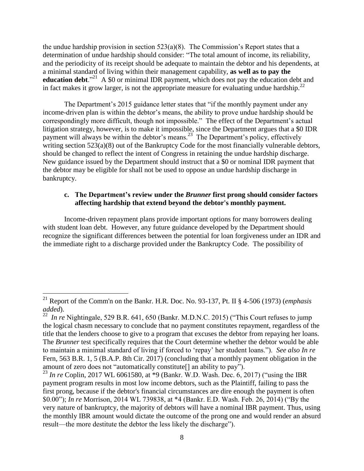the undue hardship provision in section  $523(a)(8)$ . The Commission's Report states that a determination of undue hardship should consider: "The total amount of income, its reliability, and the periodicity of its receipt should be adequate to maintain the debtor and his dependents, at a minimal standard of living within their management capability, **as well as to pay the**  education debt."<sup>21</sup> A \$0 or minimal IDR payment, which does not pay the education debt and in fact makes it grow larger, is not the appropriate measure for evaluating undue hardship.<sup>22</sup>

The Department's 2015 guidance letter states that "if the monthly payment under any income-driven plan is within the debtor's means, the ability to prove undue hardship should be correspondingly more difficult, though not impossible." The effect of the Department's actual litigation strategy, however, is to make it impossible, since the Department argues that a \$0 IDR payment will always be within the debtor's means.<sup>23</sup> The Department's policy, effectively writing section 523(a)(8) out of the Bankruptcy Code for the most financially vulnerable debtors, should be changed to reflect the intent of Congress in retaining the undue hardship discharge. New guidance issued by the Department should instruct that a \$0 or nominal IDR payment that the debtor may be eligible for shall not be used to oppose an undue hardship discharge in bankruptcy.

#### **c. The Department's review under the** *Brunner* **first prong should consider factors affecting hardship that extend beyond the debtor's monthly payment.**

Income-driven repayment plans provide important options for many borrowers dealing with student loan debt. However, any future guidance developed by the Department should recognize the significant differences between the potential for loan forgiveness under an IDR and the immediate right to a discharge provided under the Bankruptcy Code. The possibility of

<sup>21</sup> Report of the Comm'n on the Bankr. H.R. Doc. No. 93-137, Pt. II § 4-506 (1973) (*emphasis added*).

<sup>&</sup>lt;sup>22</sup> *In re* Nightingale, 529 B.R. 641, 650 (Bankr. M.D.N.C. 2015) ("This Court refuses to jump the logical chasm necessary to conclude that no payment constitutes repayment, regardless of the title that the lenders choose to give to a program that excuses the debtor from repaying her loans. The *Brunner* test specifically requires that the Court determine whether the debtor would be able to maintain a minimal standard of living if forced to 'repay' her student loans."). *See also In re* Fern, 563 B.R. 1, 5 (B.A.P. 8th Cir. 2017) (concluding that a monthly payment obligation in the amount of zero does not "automatically constitute[] an ability to pay").

<sup>&</sup>lt;sup>23</sup> *In re* Coplin, 2017 WL 6061580, at \*9 (Bankr. W.D. Wash. Dec. 6, 2017) ("using the IBR payment program results in most low income debtors, such as the Plaintiff, failing to pass the first prong, because if the debtor's financial circumstances are dire enough the payment is often \$0.00"); *In re* Morrison, 2014 WL 739838, at \*4 (Bankr. E.D. Wash. Feb. 26, 2014) ("By the very nature of bankruptcy, the majority of debtors will have a nominal IBR payment. Thus, using the monthly IBR amount would dictate the outcome of the prong one and would render an absurd result—the more destitute the debtor the less likely the discharge").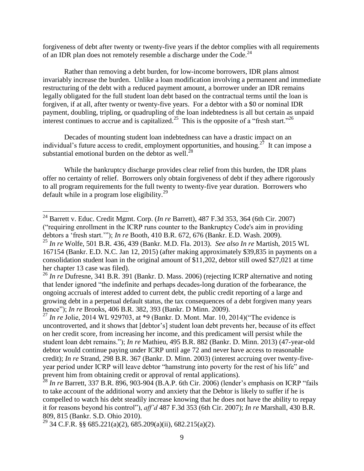forgiveness of debt after twenty or twenty-five years if the debtor complies with all requirements of an IDR plan does not remotely resemble a discharge under the Code.<sup>24</sup>

Rather than removing a debt burden, for low-income borrowers, IDR plans almost invariably increase the burden. Unlike a loan modification involving a permanent and immediate restructuring of the debt with a reduced payment amount, a borrower under an IDR remains legally obligated for the full student loan debt based on the contractual terms until the loan is forgiven, if at all, after twenty or twenty-five years. For a debtor with a \$0 or nominal IDR payment, doubling, tripling, or quadrupling of the loan indebtedness is all but certain as unpaid interest continues to accrue and is capitalized.<sup>25</sup> This is the opposite of a "fresh start."<sup>26</sup>

Decades of mounting student loan indebtedness can have a drastic impact on an individual's future access to credit, employment opportunities, and housing.<sup>27</sup> It can impose a substantial emotional burden on the debtor as well. $^{28}$ 

While the bankruptcy discharge provides clear relief from this burden, the IDR plans offer no certainty of relief. Borrowers only obtain forgiveness of debt if they adhere rigorously to all program requirements for the full twenty to twenty-five year duration. Borrowers who default while in a program lose eligibility.<sup>29</sup>

<sup>24</sup> Barrett v. Educ. Credit Mgmt. Corp. (*In re* Barrett), 487 F.3d 353, 364 (6th Cir. 2007) ("requiring enrollment in the ICRP runs counter to the Bankruptcy Code's aim in providing debtors a 'fresh start.'"); *In re* Booth, 410 B.R. 672, 676 (Bankr. E.D. Wash. 2009).

<sup>25</sup> *In re* Wolfe, 501 B.R. 436, 439 (Bankr. M.D. Fla. 2013). *See also In re* Martish, 2015 WL 167154 (Bankr. E.D. N.C. Jan 12, 2015) (after making approximately \$39,835 in payments on a consolidation student loan in the original amount of \$11,202, debtor still owed \$27,021 at time her chapter 13 case was filed).

<sup>&</sup>lt;sup>26</sup> *In re* Dufresne, 341 B.R. 391 (Bankr. D. Mass. 2006) (rejecting ICRP alternative and noting that lender ignored "the indefinite and perhaps decades-long duration of the forbearance, the ongoing accruals of interest added to current debt, the public credit reporting of a large and growing debt in a perpetual default status, the tax consequences of a debt forgiven many years hence"); *In re* Brooks, 406 B.R. 382, 393 (Bankr. D Minn. 2009).

<sup>&</sup>lt;sup>27</sup> *In re* Jolie, 2014 WL 929703, at \*9 (Bankr. D. Mont. Mar. 10, 2014)("The evidence is uncontroverted, and it shows that [debtor's] student loan debt prevents her, because of its effect on her credit score, from increasing her income, and this predicament will persist while the student loan debt remains."); *In re* Mathieu, 495 B.R. 882 (Bankr. D. Minn. 2013) (47-year-old debtor would continue paying under ICRP until age 72 and never have access to reasonable credit); *In re* Strand, 298 B.R. 367 (Bankr. D. Minn. 2003) (interest accruing over twenty-fiveyear period under ICRP will leave debtor "hamstrung into poverty for the rest of his life" and prevent him from obtaining credit or approval of rental applications).

<sup>28</sup> *In re* Barrett, 337 B.R. 896, 903-904 (B.A.P. 6th Cir. 2006) (lender's emphasis on ICRP "fails to take account of the additional worry and anxiety that the Debtor is likely to suffer if he is compelled to watch his debt steadily increase knowing that he does not have the ability to repay it for reasons beyond his control"), *aff'd* 487 F.3d 353 (6th Cir. 2007); *In re* Marshall, 430 B.R. 809, 815 (Bankr. S.D. Ohio 2010).

<sup>&</sup>lt;sup>29</sup> 34 C.F.R. §§ 685.221(a)(2), 685.209(a)(ii), 682.215(a)(2).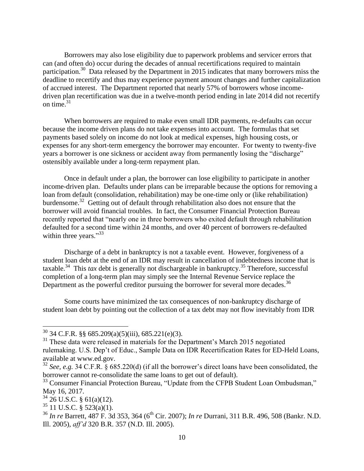Borrowers may also lose eligibility due to paperwork problems and servicer errors that can (and often do) occur during the decades of annual recertifications required to maintain participation.<sup>30</sup> Data released by the Department in 2015 indicates that many borrowers miss the deadline to recertify and thus may experience payment amount changes and further capitalization of accrued interest. The Department reported that nearly 57% of borrowers whose incomedriven plan recertification was due in a twelve-month period ending in late 2014 did not recertify on time. $31$ 

When borrowers are required to make even small IDR payments, re-defaults can occur because the income driven plans do not take expenses into account. The formulas that set payments based solely on income do not look at medical expenses, high housing costs, or expenses for any short-term emergency the borrower may encounter. For twenty to twenty-five years a borrower is one sickness or accident away from permanently losing the "discharge" ostensibly available under a long-term repayment plan.

Once in default under a plan, the borrower can lose eligibility to participate in another income-driven plan. Defaults under plans can be irreparable because the options for removing a loan from default (consolidation, rehabilitation) may be one-time only or (like rehabilitation) burdensome.<sup>32</sup> Getting out of default through rehabilitation also does not ensure that the borrower will avoid financial troubles. In fact, the Consumer Financial Protection Bureau recently reported that "nearly one in three borrowers who exited default through rehabilitation defaulted for a second time within 24 months, and over 40 percent of borrowers re-defaulted within three years."33

Discharge of a debt in bankruptcy is not a taxable event. However, forgiveness of a student loan debt at the end of an IDR may result in cancellation of indebtedness income that is taxable.<sup>34</sup> This *tax* debt is generally not dischargeable in bankruptcy.<sup>35</sup> Therefore, successful completion of a long-term plan may simply see the Internal Revenue Service replace the Department as the powerful creditor pursuing the borrower for several more decades.<sup>36</sup>

Some courts have minimized the tax consequences of non-bankruptcy discharge of student loan debt by pointing out the collection of a tax debt may not flow inevitably from IDR

 $30$  34 C.F.R. §§ 685.209(a)(5)(iii), 685.221(e)(3).

 $31$  These data were released in materials for the Department's March 2015 negotiated rulemaking. U.S. Dep't of Educ., Sample Data on IDR Recertification Rates for ED-Held Loans, available at www.ed.gov.

<sup>32</sup> *See, e.g.* 34 C.F.R. § 685.220(d) (if all the borrower's direct loans have been consolidated, the borrower cannot re-consolidate the same loans to get out of default).

<sup>&</sup>lt;sup>33</sup> Consumer Financial Protection Bureau, "Update from the CFPB Student Loan Ombudsman," May 16, 2017.

 $34$  26 U.S.C. § 61(a)(12).

 $35$  11 U.S.C. § 523(a)(1).

<sup>&</sup>lt;sup>36</sup> *In re* Barrett, 487 F. 3d 353, 364 (6<sup>th</sup> Cir. 2007); *In re* Durrani, 311 B.R. 496, 508 (Bankr. N.D. Ill. 2005), *aff'd* 320 B.R. 357 (N.D. Ill. 2005).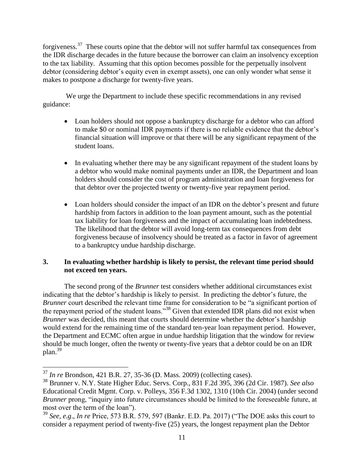forgiveness.<sup>37</sup> These courts opine that the debtor will not suffer harmful tax consequences from the IDR discharge decades in the future because the borrower can claim an insolvency exception to the tax liability. Assuming that this option becomes possible for the perpetually insolvent debtor (considering debtor's equity even in exempt assets), one can only wonder what sense it makes to postpone a discharge for twenty-five years.

We urge the Department to include these specific recommendations in any revised guidance:

- Loan holders should not oppose a bankruptcy discharge for a debtor who can afford to make \$0 or nominal IDR payments if there is no reliable evidence that the debtor's financial situation will improve or that there will be any significant repayment of the student loans.
- In evaluating whether there may be any significant repayment of the student loans by a debtor who would make nominal payments under an IDR, the Department and loan holders should consider the cost of program administration and loan forgiveness for that debtor over the projected twenty or twenty-five year repayment period.
- Loan holders should consider the impact of an IDR on the debtor's present and future hardship from factors in addition to the loan payment amount, such as the potential tax liability for loan forgiveness and the impact of accumulating loan indebtedness. The likelihood that the debtor will avoid long-term tax consequences from debt forgiveness because of insolvency should be treated as a factor in favor of agreement to a bankruptcy undue hardship discharge.

# **3. In evaluating whether hardship is likely to persist, the relevant time period should not exceed ten years.**

The second prong of the *Brunner* test considers whether additional circumstances exist indicating that the debtor's hardship is likely to persist. In predicting the debtor's future, the *Brunner* court described the relevant time frame for consideration to be "a significant portion of the repayment period of the student loans."<sup>38</sup> Given that extended IDR plans did not exist when *Brunner* was decided, this meant that courts should determine whether the debtor's hardship would extend for the remaining time of the standard ten-year loan repayment period. However, the Department and ECMC often argue in undue hardship litigation that the window for review should be much longer, often the twenty or twenty-five years that a debtor could be on an IDR plan. 39

<sup>37</sup> *In re* Brondson, 421 B.R. 27, 35-36 (D. Mass. 2009) (collecting cases).

<sup>38</sup> Brunner v. N.Y. State Higher Educ. Servs. Corp., 831 F.2d 395, 396 (2d Cir. 1987). *See also* Educational Credit Mgmt. Corp. v. Polleys, 356 F.3d 1302, 1310 (10th Cir. 2004) (under second *Brunner* prong, "inquiry into future circumstances should be limited to the foreseeable future, at most over the term of the loan").

<sup>39</sup> *See, e.g*., *In re* Price, 573 B.R. 579, 597 (Bankr. E.D. Pa. 2017) ("The DOE asks this court to consider a repayment period of twenty-five (25) years, the longest repayment plan the Debtor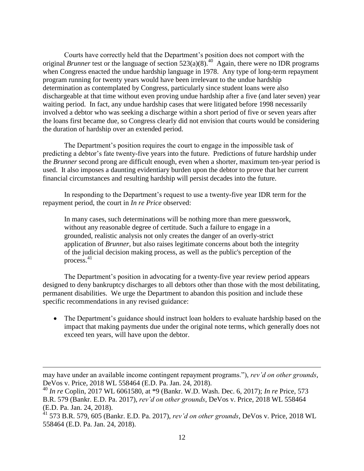Courts have correctly held that the Department's position does not comport with the original *Brunner* test or the language of section  $523(a)(8)$ .<sup>40</sup> Again, there were no IDR programs when Congress enacted the undue hardship language in 1978. Any type of long-term repayment program running for twenty years would have been irrelevant to the undue hardship determination as contemplated by Congress, particularly since student loans were also dischargeable at that time without even proving undue hardship after a five (and later seven) year waiting period. In fact, any undue hardship cases that were litigated before 1998 necessarily involved a debtor who was seeking a discharge within a short period of five or seven years after the loans first became due, so Congress clearly did not envision that courts would be considering the duration of hardship over an extended period.

The Department's position requires the court to engage in the impossible task of predicting a debtor's fate twenty-five years into the future. Predictions of future hardship under the *Brunner* second prong are difficult enough, even when a shorter, maximum ten-year period is used. It also imposes a daunting evidentiary burden upon the debtor to prove that her current financial circumstances and resulting hardship will persist decades into the future.

In responding to the Department's request to use a twenty-five year IDR term for the repayment period, the court in *In re Price* observed:

In many cases, such determinations will be nothing more than mere guesswork, without any reasonable degree of certitude. Such a failure to engage in a grounded, realistic analysis not only creates the danger of an overly-strict application of *Brunner*, but also raises legitimate concerns about both the integrity of the judicial decision making process, as well as the public's perception of the process. 41

The Department's position in advocating for a twenty-five year review period appears designed to deny bankruptcy discharges to all debtors other than those with the most debilitating, permanent disabilities. We urge the Department to abandon this position and include these specific recommendations in any revised guidance:

• The Department's guidance should instruct loan holders to evaluate hardship based on the impact that making payments due under the original note terms, which generally does not exceed ten years, will have upon the debtor.

may have under an available income contingent repayment programs."), *rev'd on other grounds*, DeVos v. Price, 2018 WL 558464 (E.D. Pa. Jan. 24, 2018).

<sup>40</sup> *In re* Coplin, 2017 WL 6061580, at \*9 (Bankr. W.D. Wash. Dec. 6, 2017); *In re* Price, 573 B.R. 579 (Bankr. E.D. Pa. 2017), *rev'd on other grounds*, DeVos v. Price, 2018 WL 558464 (E.D. Pa. Jan. 24, 2018).

<sup>41</sup> 573 B.R. 579, 605 (Bankr. E.D. Pa. 2017), *rev'd on other grounds*, DeVos v. Price, 2018 WL 558464 (E.D. Pa. Jan. 24, 2018).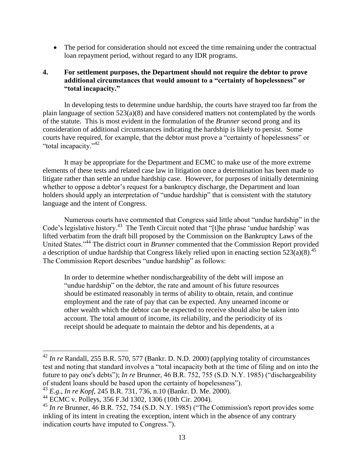• The period for consideration should not exceed the time remaining under the contractual loan repayment period, without regard to any IDR programs.

## **4. For settlement purposes, the Department should not require the debtor to prove additional circumstances that would amount to a "certainty of hopelessness" or "total incapacity."**

In developing tests to determine undue hardship, the courts have strayed too far from the plain language of section 523(a)(8) and have considered matters not contemplated by the words of the statute. This is most evident in the formulation of the *Brunner* second prong and its consideration of additional circumstances indicating the hardship is likely to persist. Some courts have required, for example, that the debtor must prove a "certainty of hopelessness" or "total incapacity."<sup>42</sup>

It may be appropriate for the Department and ECMC to make use of the more extreme elements of these tests and related case law in litigation once a determination has been made to litigate rather than settle an undue hardship case. However, for purposes of initially determining whether to oppose a debtor's request for a bankruptcy discharge, the Department and loan holders should apply an interpretation of "undue hardship" that is consistent with the statutory language and the intent of Congress.

Numerous courts have commented that Congress said little about "undue hardship" in the Code's legislative history.<sup>43</sup> The Tenth Circuit noted that "[t]he phrase 'undue hardship' was lifted verbatim from the draft bill proposed by the Commission on the Bankruptcy Laws of the United States."<sup>44</sup> The district court in *Brunner* commented that the Commission Report provided a description of undue hardship that Congress likely relied upon in enacting section  $523(a)(8)$ .<sup>45</sup> The Commission Report describes "undue hardship" as follows:

In order to determine whether nondischargeability of the debt will impose an "undue hardship" on the debtor, the rate and amount of his future resources should be estimated reasonably in terms of ability to obtain, retain, and continue employment and the rate of pay that can be expected. Any unearned income or other wealth which the debtor can be expected to receive should also be taken into account. The total amount of income, its reliability, and the periodicity of its receipt should be adequate to maintain the debtor and his dependents, at a

<sup>42</sup> *In re* Randall, 255 B.R. 570, 577 (Bankr. D. N.D. 2000) (applying totality of circumstances test and noting that standard involves a "total incapacity both at the time of filing and on into the future to pay one's debts"); *In re* Brunner, 46 B.R. 752, 755 (S.D. N.Y. 1985) ("dischargeability of student loans should be based upon the certainty of hopelessness").

<sup>43</sup> *E.g*., *In re Kopf*, 245 B.R. 731, 736, n.10 (Bankr. D. Me. 2000).

<sup>44</sup> ECMC v. Polleys, 356 F.3d 1302, 1306 (10th Cir. 2004).

<sup>45</sup> *In re* Brunner, 46 B.R. 752, 754 (S.D. N.Y. 1985) ("The Commission's report provides some inkling of its intent in creating the exception, intent which in the absence of any contrary indication courts have imputed to Congress.").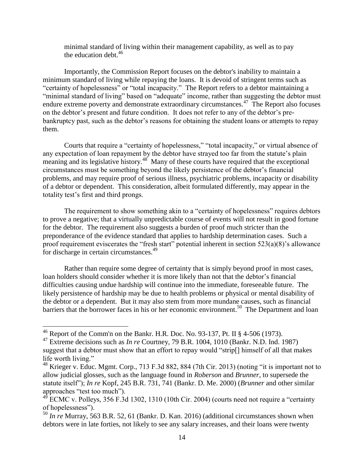minimal standard of living within their management capability, as well as to pay the education debt.  $46 \overline{6}$ 

Importantly, the Commission Report focuses on the debtor's inability to maintain a minimum standard of living while repaying the loans. It is devoid of stringent terms such as "certainty of hopelessness" or "total incapacity." The Report refers to a debtor maintaining a "minimal standard of living" based on "adequate" income, rather than suggesting the debtor must endure extreme poverty and demonstrate extraordinary circumstances.<sup>47</sup> The Report also focuses on the debtor's present and future condition. It does not refer to any of the debtor's prebankruptcy past, such as the debtor's reasons for obtaining the student loans or attempts to repay them.

Courts that require a "certainty of hopelessness," "total incapacity," or virtual absence of any expectation of loan repayment by the debtor have strayed too far from the statute's plain meaning and its legislative history.<sup>48</sup> Many of these courts have required that the exceptional circumstances must be something beyond the likely persistence of the debtor's financial problems, and may require proof of serious illness, psychiatric problems, incapacity or disability of a debtor or dependent. This consideration, albeit formulated differently, may appear in the totality test's first and third prongs.

The requirement to show something akin to a "certainty of hopelessness" requires debtors to prove a negative; that a virtually unpredictable course of events will not result in good fortune for the debtor. The requirement also suggests a burden of proof much stricter than the preponderance of the evidence standard that applies to hardship determination cases. Such a proof requirement eviscerates the "fresh start" potential inherent in section 523(a)(8)'s allowance for discharge in certain circumstances.<sup>49</sup>

Rather than require some degree of certainty that is simply beyond proof in most cases, loan holders should consider whether it is more likely than not that the debtor's financial difficulties causing undue hardship will continue into the immediate, foreseeable future. The likely persistence of hardship may be due to health problems or physical or mental disability of the debtor or a dependent. But it may also stem from more mundane causes, such as financial barriers that the borrower faces in his or her economic environment.<sup>50</sup> The Department and loan

<sup>&</sup>lt;sup>46</sup> Report of the Comm'n on the Bankr. H.R. Doc. No. 93-137, Pt. II § 4-506 (1973).

<sup>47</sup> Extreme decisions such as *In re* Courtney, 79 B.R. 1004, 1010 (Bankr. N.D. Ind. 1987) suggest that a debtor must show that an effort to repay would "strip[] himself of all that makes life worth living."

<sup>48</sup> Krieger v. Educ. Mgmt. Corp., 713 F.3d 882, 884 (7th Cir. 2013) (noting "it is important not to allow judicial glosses, such as the language found in *Roberson* and *Brunner*, to supersede the statute itself"); *In re* Kopf, 245 B.R. 731, 741 (Bankr. D. Me. 2000) (*Brunner* and other similar approaches "test too much").

<sup>&</sup>lt;sup>49</sup> ECMC v. Polleys, 356 F.3d 1302, 1310 (10th Cir. 2004) (courts need not require a "certainty" of hopelessness").

<sup>&</sup>lt;sup>50</sup> *In re* Murray, 563 B.R. 52, 61 (Bankr. D. Kan. 2016) (additional circumstances shown when debtors were in late forties, not likely to see any salary increases, and their loans were twenty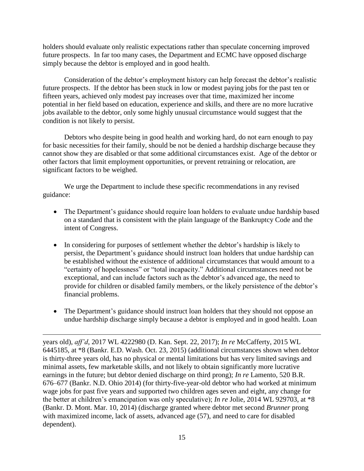holders should evaluate only realistic expectations rather than speculate concerning improved future prospects. In far too many cases, the Department and ECMC have opposed discharge simply because the debtor is employed and in good health.

Consideration of the debtor's employment history can help forecast the debtor's realistic future prospects. If the debtor has been stuck in low or modest paying jobs for the past ten or fifteen years, achieved only modest pay increases over that time, maximized her income potential in her field based on education, experience and skills, and there are no more lucrative jobs available to the debtor, only some highly unusual circumstance would suggest that the condition is not likely to persist.

Debtors who despite being in good health and working hard, do not earn enough to pay for basic necessities for their family, should be not be denied a hardship discharge because they cannot show they are disabled or that some additional circumstances exist. Age of the debtor or other factors that limit employment opportunities, or prevent retraining or relocation, are significant factors to be weighed.

We urge the Department to include these specific recommendations in any revised guidance:

- The Department's guidance should require loan holders to evaluate undue hardship based on a standard that is consistent with the plain language of the Bankruptcy Code and the intent of Congress.
- In considering for purposes of settlement whether the debtor's hardship is likely to persist, the Department's guidance should instruct loan holders that undue hardship can be established without the existence of additional circumstances that would amount to a "certainty of hopelessness" or "total incapacity." Additional circumstances need not be exceptional, and can include factors such as the debtor's advanced age, the need to provide for children or disabled family members, or the likely persistence of the debtor's financial problems.
- The Department's guidance should instruct loan holders that they should not oppose an undue hardship discharge simply because a debtor is employed and in good health. Loan

 $\overline{a}$ years old), *aff'd*, 2017 WL 4222980 (D. Kan. Sept. 22, 2017); *In re* McCafferty, 2015 WL 6445185, at \*8 (Bankr. E.D. Wash. Oct. 23, 2015) (additional circumstances shown when debtor is thirty-three years old, has no physical or mental limitations but has very limited savings and minimal assets, few marketable skills, and not likely to obtain significantly more lucrative earnings in the future; but debtor denied discharge on third prong); *In re* Lamento, 520 B.R. 676–677 (Bankr. N.D. Ohio 2014) (for thirty-five-year-old debtor who had worked at minimum wage jobs for past five years and supported two children ages seven and eight, any change for the better at children's emancipation was only speculative); *In re* Jolie, 2014 WL 929703, at \*8 (Bankr. D. Mont. Mar. 10, 2014) (discharge granted where debtor met second *Brunner* prong with maximized income, lack of assets, advanced age (57), and need to care for disabled dependent).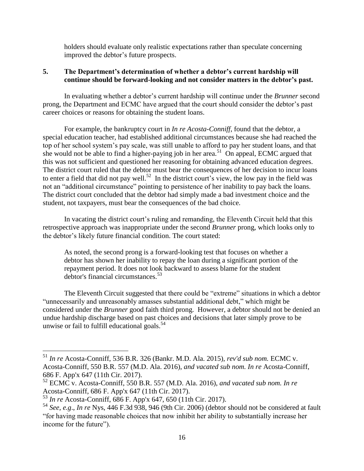holders should evaluate only realistic expectations rather than speculate concerning improved the debtor's future prospects.

## **5. The Department's determination of whether a debtor's current hardship will continue should be forward-looking and not consider matters in the debtor's past.**

In evaluating whether a debtor's current hardship will continue under the *Brunner* second prong, the Department and ECMC have argued that the court should consider the debtor's past career choices or reasons for obtaining the student loans.

For example, the bankruptcy court in *In re Acosta-Conniff*, found that the debtor, a special education teacher, had established additional circumstances because she had reached the top of her school system's pay scale, was still unable to afford to pay her student loans, and that she would not be able to find a higher-paying job in her area.<sup>51</sup> On appeal, ECMC argued that this was not sufficient and questioned her reasoning for obtaining advanced education degrees. The district court ruled that the debtor must bear the consequences of her decision to incur loans to enter a field that did not pay well.<sup>52</sup> In the district court's view, the low pay in the field was not an "additional circumstance" pointing to persistence of her inability to pay back the loans. The district court concluded that the debtor had simply made a bad investment choice and the student, not taxpayers, must bear the consequences of the bad choice.

In vacating the district court's ruling and remanding, the Eleventh Circuit held that this retrospective approach was inappropriate under the second *Brunner* prong, which looks only to the debtor's likely future financial condition. The court stated:

As noted, the second prong is a forward-looking test that focuses on whether a debtor has shown her inability to repay the loan during a significant portion of the repayment period. It does not look backward to assess blame for the student debtor's financial circumstances.<sup>53</sup>

The Eleventh Circuit suggested that there could be "extreme" situations in which a debtor "unnecessarily and unreasonably amasses substantial additional debt," which might be considered under the *Brunner* good faith third prong. However, a debtor should not be denied an undue hardship discharge based on past choices and decisions that later simply prove to be unwise or fail to fulfill educational goals.<sup>54</sup>

<sup>51</sup> *In re* Acosta-Conniff, 536 B.R. 326 (Bankr. M.D. Ala. 2015), *rev'd sub nom.* ECMC v. Acosta-Conniff, 550 B.R. 557 (M.D. Ala. 2016), *and vacated sub nom. In re* Acosta-Conniff, 686 F. App'x 647 (11th Cir. 2017).

<sup>52</sup> ECMC v. Acosta-Conniff, 550 B.R. 557 (M.D. Ala. 2016), *and vacated sub nom. In re* Acosta-Conniff, 686 F. App'x 647 (11th Cir. 2017).

<sup>53</sup> *In re* Acosta-Conniff, 686 F. App'x 647, 650 (11th Cir. 2017).

<sup>54</sup> *See, e.g*., *In re* Nys, 446 F.3d 938, 946 (9th Cir. 2006) (debtor should not be considered at fault "for having made reasonable choices that now inhibit her ability to substantially increase her income for the future").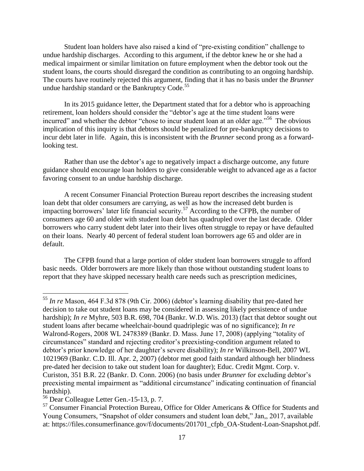Student loan holders have also raised a kind of "pre-existing condition" challenge to undue hardship discharges. According to this argument, if the debtor knew he or she had a medical impairment or similar limitation on future employment when the debtor took out the student loans, the courts should disregard the condition as contributing to an ongoing hardship. The courts have routinely rejected this argument, finding that it has no basis under the *Brunner* undue hardship standard or the Bankruptcy Code.<sup>55</sup>

In its 2015 guidance letter, the Department stated that for a debtor who is approaching retirement, loan holders should consider the "debtor's age at the time student loans were incurred" and whether the debtor "chose to incur student loan at an older age."<sup>56</sup> The obvious implication of this inquiry is that debtors should be penalized for pre-bankruptcy decisions to incur debt later in life. Again, this is inconsistent with the *Brunner* second prong as a forwardlooking test.

Rather than use the debtor's age to negatively impact a discharge outcome, any future guidance should encourage loan holders to give considerable weight to advanced age as a factor favoring consent to an undue hardship discharge.

A recent Consumer Financial Protection Bureau report describes the increasing student loan debt that older consumers are carrying, as well as how the increased debt burden is impacting borrowers' later life financial security.<sup>57</sup> According to the CFPB, the number of consumers age 60 and older with student loan debt has quadrupled over the last decade. Older borrowers who carry student debt later into their lives often struggle to repay or have defaulted on their loans. Nearly 40 percent of federal student loan borrowers age 65 and older are in default.

The CFPB found that a large portion of older student loan borrowers struggle to afford basic needs. Older borrowers are more likely than those without outstanding student loans to report that they have skipped necessary health care needs such as prescription medicines,

<sup>55</sup> *In re* Mason, 464 F.3d 878 (9th Cir. 2006) (debtor's learning disability that pre-dated her decision to take out student loans may be considered in assessing likely persistence of undue hardship); *In re* Myhre, 503 B.R. 698, 704 (Bankr. W.D. Wis. 2013) (fact that debtor sought out student loans after became wheelchair-bound quadriplegic was of no significance); *In re* Walrond-Rogers, 2008 WL 2478389 (Bankr. D. Mass. June 17, 2008) (applying "totality of circumstances" standard and rejecting creditor's preexisting-condition argument related to debtor's prior knowledge of her daughter's severe disability); *In re* Wilkinson-Bell, 2007 WL 1021969 (Bankr. C.D. Ill. Apr. 2, 2007) (debtor met good faith standard although her blindness pre-dated her decision to take out student loan for daughter); Educ. Credit Mgmt. Corp. v. Curiston, 351 B.R. 22 (Bankr. D. Conn. 2006) (no basis under *Brunner* for excluding debtor's preexisting mental impairment as "additional circumstance" indicating continuation of financial hardship).

<sup>56</sup> Dear Colleague Letter Gen.-15-13, p. 7.

 $57$  Consumer Financial Protection Bureau, Office for Older Americans & Office for Students and Young Consumers, "Snapshot of older consumers and student loan debt," Jan,, 2017, available at: https://files.consumerfinance.gov/f/documents/201701\_cfpb\_OA-Student-Loan-Snapshot.pdf.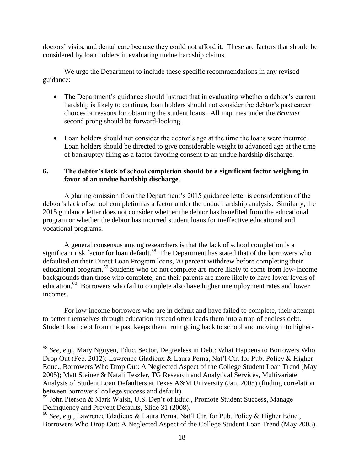doctors' visits, and dental care because they could not afford it. These are factors that should be considered by loan holders in evaluating undue hardship claims.

We urge the Department to include these specific recommendations in any revised guidance:

- The Department's guidance should instruct that in evaluating whether a debtor's current hardship is likely to continue, loan holders should not consider the debtor's past career choices or reasons for obtaining the student loans. All inquiries under the *Brunner* second prong should be forward-looking.
- Loan holders should not consider the debtor's age at the time the loans were incurred. Loan holders should be directed to give considerable weight to advanced age at the time of bankruptcy filing as a factor favoring consent to an undue hardship discharge.

## **6. The debtor's lack of school completion should be a significant factor weighing in favor of an undue hardship discharge.**

A glaring omission from the Department's 2015 guidance letter is consideration of the debtor's lack of school completion as a factor under the undue hardship analysis. Similarly, the 2015 guidance letter does not consider whether the debtor has benefited from the educational program or whether the debtor has incurred student loans for ineffective educational and vocational programs.

A general consensus among researchers is that the lack of school completion is a significant risk factor for loan default.<sup>58</sup> The Department has stated that of the borrowers who defaulted on their Direct Loan Program loans, 70 percent withdrew before completing their educational program. <sup>59</sup> Students who do not complete are more likely to come from low-income backgrounds than those who complete, and their parents are more likely to have lower levels of education.<sup>60</sup> Borrowers who fail to complete also have higher unemployment rates and lower incomes.

For low-income borrowers who are in default and have failed to complete, their attempt to better themselves through education instead often leads them into a trap of endless debt. Student loan debt from the past keeps them from going back to school and moving into higher-

<sup>58</sup> *See, e.g*., Mary Nguyen, Educ. Sector, Degreeless in Debt: What Happens to Borrowers Who Drop Out (Feb. 2012); Lawrence Gladieux & Laura Perna, Nat'l Ctr. for Pub. Policy & Higher Educ., Borrowers Who Drop Out: A Neglected Aspect of the College Student Loan Trend (May 2005); Matt Steiner & Natali Teszler, TG Research and Analytical Services, Multivariate Analysis of Student Loan Defaulters at Texas A&M University (Jan. 2005) (finding correlation between borrowers' college success and default).

<sup>59</sup> John Pierson & Mark Walsh, U.S. Dep't of Educ., Promote Student Success, Manage Delinquency and Prevent Defaults, Slide 31 (2008).

<sup>60</sup> *See, e.g*., Lawrence Gladieux & Laura Perna, Nat'l Ctr. for Pub. Policy & Higher Educ., Borrowers Who Drop Out: A Neglected Aspect of the College Student Loan Trend (May 2005).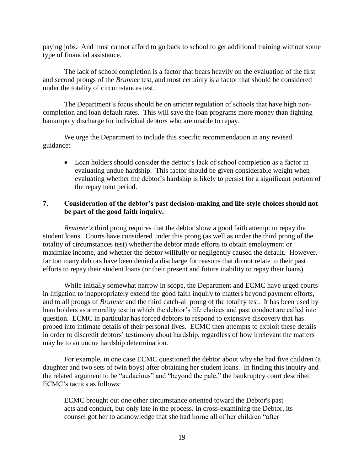paying jobs. And most cannot afford to go back to school to get additional training without some type of financial assistance.

The lack of school completion is a factor that bears heavily on the evaluation of the first and second prongs of the *Brunner* test, and most certainly is a factor that should be considered under the totality of circumstances test.

The Department's focus should be on stricter regulation of schools that have high noncompletion and loan default rates. This will save the loan programs more money than fighting bankruptcy discharge for individual debtors who are unable to repay.

We urge the Department to include this specific recommendation in any revised guidance:

 Loan holders should consider the debtor's lack of school completion as a factor in evaluating undue hardship. This factor should be given considerable weight when evaluating whether the debtor's hardship is likely to persist for a significant portion of the repayment period.

## **7. Consideration of the debtor's past decision-making and life-style choices should not be part of the good faith inquiry.**

*Brunner's* third prong requires that the debtor show a good faith attempt to repay the student loans. Courts have considered under this prong (as well as under the third prong of the totality of circumstances test) whether the debtor made efforts to obtain employment or maximize income, and whether the debtor willfully or negligently caused the default. However, far too many debtors have been denied a discharge for reasons that do not relate to their past efforts to repay their student loans (or their present and future inability to repay their loans).

While initially somewhat narrow in scope, the Department and ECMC have urged courts in litigation to inappropriately extend the good faith inquiry to matters beyond payment efforts, and to all prongs of *Brunner* and the third catch-all prong of the totality test. It has been used by loan holders as a morality test in which the debtor's life choices and past conduct are called into question. ECMC in particular has forced debtors to respond to extensive discovery that has probed into intimate details of their personal lives. ECMC then attempts to exploit these details in order to discredit debtors' testimony about hardship, regardless of how irrelevant the matters may be to an undue hardship determination.

For example, in one case ECMC questioned the debtor about why she had five children (a daughter and two sets of twin boys) after obtaining her student loans. In finding this inquiry and the related argument to be "audacious" and "beyond the pale," the bankruptcy court described ECMC's tactics as follows:

ECMC brought out one other circumstance oriented toward the Debtor's past acts and conduct, but only late in the process. In cross-examining the Debtor, its counsel got her to acknowledge that she had borne all of her children "after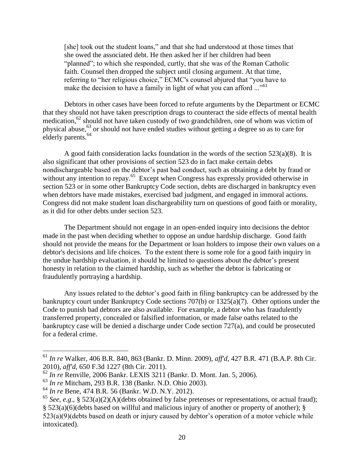[she] took out the student loans," and that she had understood at those times that she owed the associated debt. He then asked her if her children had been "planned"; to which she responded, curtly, that she was of the Roman Catholic faith. Counsel then dropped the subject until closing argument. At that time, referring to "her religious choice," ECMC's counsel abjured that "you have to make the decision to have a family in light of what you can afford ..."<sup>61</sup>

Debtors in other cases have been forced to refute arguments by the Department or ECMC that they should not have taken prescription drugs to counteract the side effects of mental health medication,<sup>62</sup> should not have taken custody of two grandchildren, one of whom was victim of physical abuse,<sup>63</sup> or should not have ended studies without getting a degree so as to care for elderly parents.<sup>64</sup>

A good faith consideration lacks foundation in the words of the section  $523(a)(8)$ . It is also significant that other provisions of section 523 do in fact make certain debts nondischargeable based on the debtor's past bad conduct, such as obtaining a debt by fraud or without any intention to repay.<sup>65</sup> Except when Congress has expressly provided otherwise in section 523 or in some other Bankruptcy Code section, debts are discharged in bankruptcy even when debtors have made mistakes, exercised bad judgment, and engaged in immoral actions. Congress did not make student loan dischargeability turn on questions of good faith or morality, as it did for other debts under section 523.

The Department should not engage in an open-ended inquiry into decisions the debtor made in the past when deciding whether to oppose an undue hardship discharge. Good faith should not provide the means for the Department or loan holders to impose their own values on a debtor's decisions and life choices. To the extent there is some role for a good faith inquiry in the undue hardship evaluation, it should be limited to questions about the debtor's present honesty in relation to the claimed hardship, such as whether the debtor is fabricating or fraudulently portraying a hardship.

Any issues related to the debtor's good faith in filing bankruptcy can be addressed by the bankruptcy court under Bankruptcy Code sections 707(b) or 1325(a)(7). Other options under the Code to punish bad debtors are also available. For example, a debtor who has fraudulently transferred property, concealed or falsified information, or made false oaths related to the bankruptcy case will be denied a discharge under Code section 727(a), and could be prosecuted for a federal crime.

<sup>61</sup> *In re* Walker, 406 B.R. 840, 863 (Bankr. D. Minn. 2009), *aff'd*, 427 B.R. 471 (B.A.P. 8th Cir. 2010), *aff'd*, 650 F.3d 1227 (8th Cir. 2011).

<sup>62</sup> *In re* Renville, 2006 Bankr. LEXIS 3211 (Bankr. D. Mont. Jan. 5, 2006).

<sup>63</sup> *In re* Mitcham, 293 B.R. 138 (Bankr. N.D. Ohio 2003).

<sup>64</sup> *In re* Bene, 474 B.R. 56 (Bankr. W.D. N.Y. 2012).

<sup>&</sup>lt;sup>65</sup> *See, e.g.*, § 523(a)(2)(A)(debts obtained by false pretenses or representations, or actual fraud);

<sup>§ 523(</sup>a)(6)(debts based on willful and malicious injury of another or property of another); § 523(a)(9)(debts based on death or injury caused by debtor's operation of a motor vehicle while intoxicated).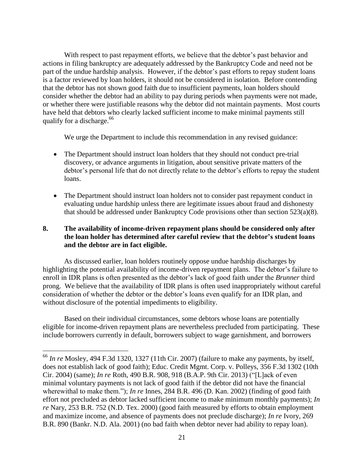With respect to past repayment efforts, we believe that the debtor's past behavior and actions in filing bankruptcy are adequately addressed by the Bankruptcy Code and need not be part of the undue hardship analysis. However, if the debtor's past efforts to repay student loans is a factor reviewed by loan holders, it should not be considered in isolation. Before contending that the debtor has not shown good faith due to insufficient payments, loan holders should consider whether the debtor had an ability to pay during periods when payments were not made, or whether there were justifiable reasons why the debtor did not maintain payments. Most courts have held that debtors who clearly lacked sufficient income to make minimal payments still qualify for a discharge.<sup>66</sup>

We urge the Department to include this recommendation in any revised guidance:

- The Department should instruct loan holders that they should not conduct pre-trial discovery, or advance arguments in litigation, about sensitive private matters of the debtor's personal life that do not directly relate to the debtor's efforts to repay the student loans.
- The Department should instruct loan holders not to consider past repayment conduct in evaluating undue hardship unless there are legitimate issues about fraud and dishonesty that should be addressed under Bankruptcy Code provisions other than section 523(a)(8).

# **8. The availability of income-driven repayment plans should be considered only after the loan holder has determined after careful review that the debtor's student loans and the debtor are in fact eligible.**

As discussed earlier, loan holders routinely oppose undue hardship discharges by highlighting the potential availability of income-driven repayment plans. The debtor's failure to enroll in IDR plans is often presented as the debtor's lack of good faith under the *Brunner* third prong. We believe that the availability of IDR plans is often used inappropriately without careful consideration of whether the debtor or the debtor's loans even qualify for an IDR plan, and without disclosure of the potential impediments to eligibility.

Based on their individual circumstances, some debtors whose loans are potentially eligible for income-driven repayment plans are nevertheless precluded from participating. These include borrowers currently in default, borrowers subject to wage garnishment, and borrowers

<sup>66</sup> *In re* Mosley, 494 F.3d 1320, 1327 (11th Cir. 2007) (failure to make any payments, by itself, does not establish lack of good faith); Educ. Credit Mgmt. Corp. v. Polleys, 356 F.3d 1302 (10th Cir. 2004) (same); *In re* Roth, 490 B.R. 908, 918 (B.A.P. 9th Cir. 2013) ("[L]ack of even minimal voluntary payments is not lack of good faith if the debtor did not have the financial wherewithal to make them."); *In re* Innes, 284 B.R. 496 (D. Kan. 2002) (finding of good faith effort not precluded as debtor lacked sufficient income to make minimum monthly payments); *In re* Nary, 253 B.R. 752 (N.D. Tex. 2000) (good faith measured by efforts to obtain employment and maximize income, and absence of payments does not preclude discharge); *In re* Ivory, 269 B.R. 890 (Bankr. N.D. Ala. 2001) (no bad faith when debtor never had ability to repay loan).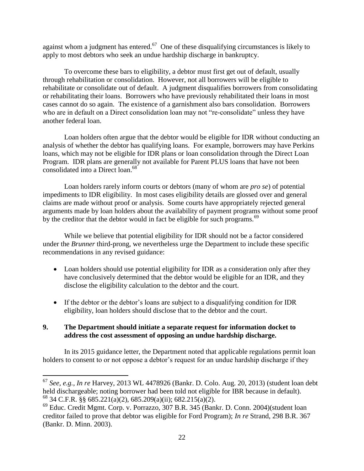against whom a judgment has entered.<sup>67</sup> One of these disqualifying circumstances is likely to apply to most debtors who seek an undue hardship discharge in bankruptcy.

To overcome these bars to eligibility, a debtor must first get out of default, usually through rehabilitation or consolidation. However, not all borrowers will be eligible to rehabilitate or consolidate out of default. A judgment disqualifies borrowers from consolidating or rehabilitating their loans. Borrowers who have previously rehabilitated their loans in most cases cannot do so again. The existence of a garnishment also bars consolidation. Borrowers who are in default on a Direct consolidation loan may not "re-consolidate" unless they have another federal loan.

Loan holders often argue that the debtor would be eligible for IDR without conducting an analysis of whether the debtor has qualifying loans. For example, borrowers may have Perkins loans, which may not be eligible for IDR plans or loan consolidation through the Direct Loan Program. IDR plans are generally not available for Parent PLUS loans that have not been consolidated into a Direct loan. 68

Loan holders rarely inform courts or debtors (many of whom are *pro se*) of potential impediments to IDR eligibility. In most cases eligibility details are glossed over and general claims are made without proof or analysis. Some courts have appropriately rejected general arguments made by loan holders about the availability of payment programs without some proof by the creditor that the debtor would in fact be eligible for such programs.<sup>69</sup>

While we believe that potential eligibility for IDR should not be a factor considered under the *Brunner* third-prong, we nevertheless urge the Department to include these specific recommendations in any revised guidance:

- Loan holders should use potential eligibility for IDR as a consideration only after they have conclusively determined that the debtor would be eligible for an IDR, and they disclose the eligibility calculation to the debtor and the court.
- If the debtor or the debtor's loans are subject to a disqualifying condition for IDR eligibility, loan holders should disclose that to the debtor and the court.

## **9. The Department should initiate a separate request for information docket to address the cost assessment of opposing an undue hardship discharge.**

 $\overline{a}$ 

In its 2015 guidance letter, the Department noted that applicable regulations permit loan holders to consent to or not oppose a debtor's request for an undue hardship discharge if they

<sup>67</sup> *See, e.g., In re* Harvey, 2013 WL 4478926 (Bankr. D. Colo. Aug. 20, 2013) (student loan debt held dischargeable; noting borrower had been told not eligible for IBR because in default).  $^{68}$  34 C.F.R. §§ 685.221(a)(2), 685.209(a)(ii); 682.215(a)(2).

<sup>69</sup> Educ. Credit Mgmt. Corp. v. Porrazzo, 307 B.R. 345 (Bankr. D. Conn. 2004)(student loan creditor failed to prove that debtor was eligible for Ford Program); *In re* Strand, 298 B.R. 367 (Bankr. D. Minn. 2003).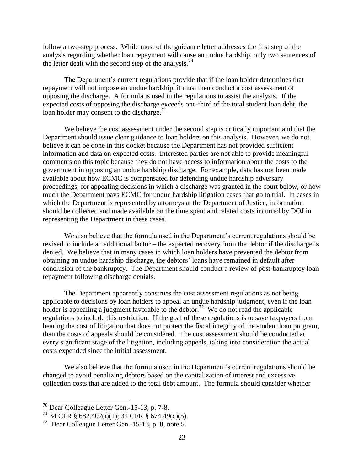follow a two-step process. While most of the guidance letter addresses the first step of the analysis regarding whether loan repayment will cause an undue hardship, only two sentences of the letter dealt with the second step of the analysis.<sup>70</sup>

The Department's current regulations provide that if the loan holder determines that repayment will not impose an undue hardship, it must then conduct a cost assessment of opposing the discharge. A formula is used in the regulations to assist the analysis. If the expected costs of opposing the discharge exceeds one-third of the total student loan debt, the loan holder may consent to the discharge.<sup>71</sup>

We believe the cost assessment under the second step is critically important and that the Department should issue clear guidance to loan holders on this analysis. However, we do not believe it can be done in this docket because the Department has not provided sufficient information and data on expected costs. Interested parties are not able to provide meaningful comments on this topic because they do not have access to information about the costs to the government in opposing an undue hardship discharge. For example, data has not been made available about how ECMC is compensated for defending undue hardship adversary proceedings, for appealing decisions in which a discharge was granted in the court below, or how much the Department pays ECMC for undue hardship litigation cases that go to trial. In cases in which the Department is represented by attorneys at the Department of Justice, information should be collected and made available on the time spent and related costs incurred by DOJ in representing the Department in these cases.

We also believe that the formula used in the Department's current regulations should be revised to include an additional factor – the expected recovery from the debtor if the discharge is denied. We believe that in many cases in which loan holders have prevented the debtor from obtaining an undue hardship discharge, the debtors' loans have remained in default after conclusion of the bankruptcy. The Department should conduct a review of post-bankruptcy loan repayment following discharge denials.

The Department apparently construes the cost assessment regulations as not being applicable to decisions by loan holders to appeal an undue hardship judgment, even if the loan holder is appealing a judgment favorable to the debtor.<sup>72</sup> We do not read the applicable regulations to include this restriction. If the goal of these regulations is to save taxpayers from bearing the cost of litigation that does not protect the fiscal integrity of the student loan program, than the costs of appeals should be considered. The cost assessment should be conducted at every significant stage of the litigation, including appeals, taking into consideration the actual costs expended since the initial assessment.

We also believe that the formula used in the Department's current regulations should be changed to avoid penalizing debtors based on the capitalization of interest and excessive collection costs that are added to the total debt amount. The formula should consider whether

 $70$  Dear Colleague Letter Gen.-15-13, p. 7-8.

 $71$  34 CFR § 682.402(i)(1); 34 CFR § 674.49(c)(5).

<sup>72</sup> Dear Colleague Letter Gen.-15-13, p. 8, note 5.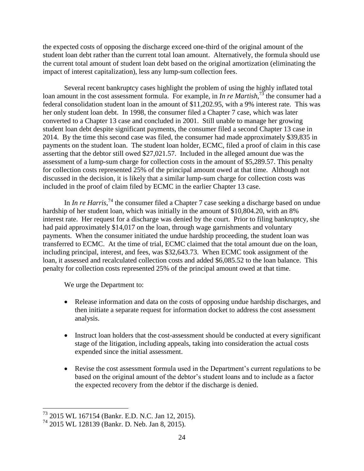the expected costs of opposing the discharge exceed one-third of the original amount of the student loan debt rather than the current total loan amount. Alternatively, the formula should use the current total amount of student loan debt based on the original amortization (eliminating the impact of interest capitalization), less any lump-sum collection fees.

Several recent bankruptcy cases highlight the problem of using the highly inflated total loan amount in the cost assessment formula. For example, in *In re Martish*<sup>73</sup>, the consumer had a federal consolidation student loan in the amount of \$11,202.95, with a 9% interest rate. This was her only student loan debt. In 1998, the consumer filed a Chapter 7 case, which was later converted to a Chapter 13 case and concluded in 2001. Still unable to manage her growing student loan debt despite significant payments, the consumer filed a second Chapter 13 case in 2014. By the time this second case was filed, the consumer had made approximately \$39,835 in payments on the student loan. The student loan holder, ECMC, filed a proof of claim in this case asserting that the debtor still owed \$27,021.57. Included in the alleged amount due was the assessment of a lump-sum charge for collection costs in the amount of \$5,289.57. This penalty for collection costs represented 25% of the principal amount owed at that time. Although not discussed in the decision, it is likely that a similar lump-sum charge for collection costs was included in the proof of claim filed by ECMC in the earlier Chapter 13 case.

In *In re Harris*<sup>74</sup>, the consumer filed a Chapter 7 case seeking a discharge based on undue hardship of her student loan, which was initially in the amount of \$10,804.20, with an 8% interest rate. Her request for a discharge was denied by the court. Prior to filing bankruptcy, she had paid approximately \$14,017 on the loan, through wage garnishments and voluntary payments. When the consumer initiated the undue hardship proceeding, the student loan was transferred to ECMC. At the time of trial, ECMC claimed that the total amount due on the loan, including principal, interest, and fees, was \$32,643.73. When ECMC took assignment of the loan, it assessed and recalculated collection costs and added \$6,085.52 to the loan balance. This penalty for collection costs represented 25% of the principal amount owed at that time.

We urge the Department to:

- Release information and data on the costs of opposing undue hardship discharges, and then initiate a separate request for information docket to address the cost assessment analysis.
- Instruct loan holders that the cost-assessment should be conducted at every significant stage of the litigation, including appeals, taking into consideration the actual costs expended since the initial assessment.
- Revise the cost assessment formula used in the Department's current regulations to be based on the original amount of the debtor's student loans and to include as a factor the expected recovery from the debtor if the discharge is denied.

<sup>73</sup> 2015 WL 167154 (Bankr. E.D. N.C. Jan 12, 2015).

<sup>74</sup> 2015 WL 128139 (Bankr. D. Neb. Jan 8, 2015).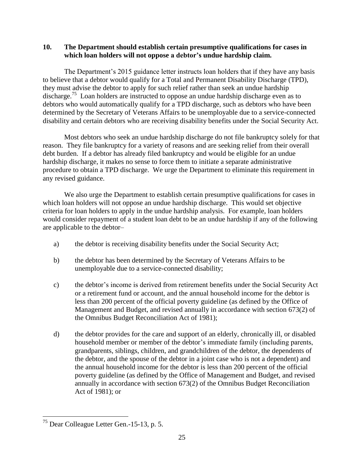## **10. The Department should establish certain presumptive qualifications for cases in which loan holders will not oppose a debtor's undue hardship claim.**

The Department's 2015 guidance letter instructs loan holders that if they have any basis to believe that a debtor would qualify for a Total and Permanent Disability Discharge (TPD), they must advise the debtor to apply for such relief rather than seek an undue hardship discharge.<sup>75</sup> Loan holders are instructed to oppose an undue hardship discharge even as to debtors who would automatically qualify for a TPD discharge, such as debtors who have been determined by the Secretary of Veterans Affairs to be unemployable due to a service-connected disability and certain debtors who are receiving disability benefits under the Social Security Act.

Most debtors who seek an undue hardship discharge do not file bankruptcy solely for that reason. They file bankruptcy for a variety of reasons and are seeking relief from their overall debt burden. If a debtor has already filed bankruptcy and would be eligible for an undue hardship discharge, it makes no sense to force them to initiate a separate administrative procedure to obtain a TPD discharge. We urge the Department to eliminate this requirement in any revised guidance.

We also urge the Department to establish certain presumptive qualifications for cases in which loan holders will not oppose an undue hardship discharge. This would set objective criteria for loan holders to apply in the undue hardship analysis. For example, loan holders would consider repayment of a student loan debt to be an undue hardship if any of the following are applicable to the debtor–

- a) the debtor is receiving disability benefits under the Social Security Act;
- b) the debtor has been determined by the Secretary of Veterans Affairs to be unemployable due to a service-connected disability;
- c) the debtor's income is derived from retirement benefits under the Social Security Act or a retirement fund or account, and the annual household income for the debtor is less than 200 percent of the official poverty guideline (as defined by the Office of Management and Budget, and revised annually in accordance with section 673(2) of the Omnibus Budget Reconciliation Act of 1981);
- d) the debtor provides for the care and support of an elderly, chronically ill, or disabled household member or member of the debtor's immediate family (including parents, grandparents, siblings, children, and grandchildren of the debtor, the dependents of the debtor, and the spouse of the debtor in a joint case who is not a dependent) and the annual household income for the debtor is less than 200 percent of the official poverty guideline (as defined by the Office of Management and Budget, and revised annually in accordance with section 673(2) of the Omnibus Budget Reconciliation Act of 1981); or

 $\overline{a}$ <sup>75</sup> Dear Colleague Letter Gen.-15-13, p. 5.